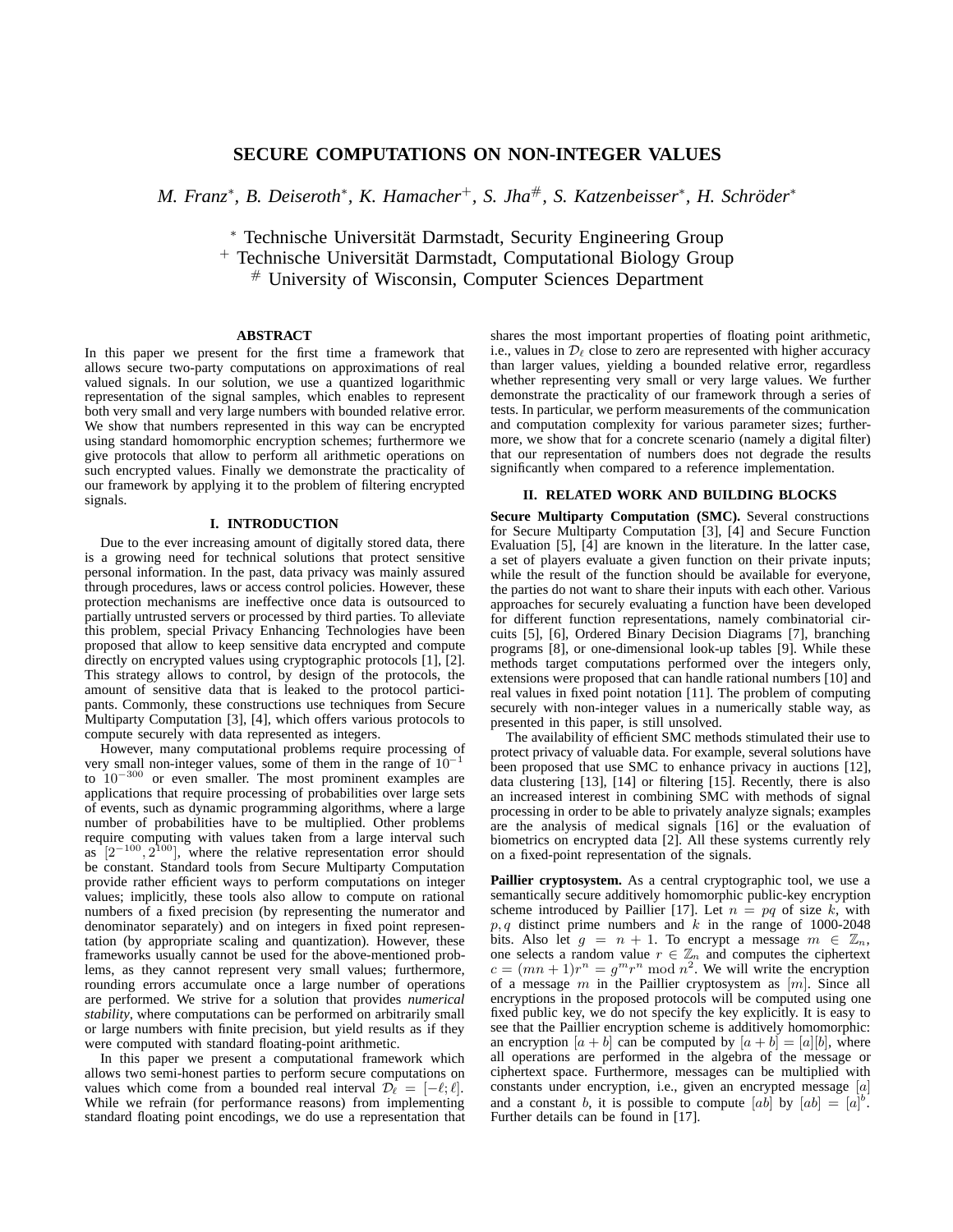# **SECURE COMPUTATIONS ON NON-INTEGER VALUES**

*M. Franz*∗*, B. Deiseroth*∗*, K. Hamacher*<sup>+</sup>*, S. Jha*#*, S. Katzenbeisser*∗*, H. Schroder ¨* <sup>∗</sup>

<sup>∗</sup> Technische Universit¨at Darmstadt, Security Engineering Group + Technische Universität Darmstadt, Computational Biology Group # University of Wisconsin, Computer Sciences Department

## **ABSTRACT**

In this paper we present for the first time a framework that allows secure two-party computations on approximations of real valued signals. In our solution, we use a quantized logarithmic representation of the signal samples, which enables to represent both very small and very large numbers with bounded relative error. We show that numbers represented in this way can be encrypted using standard homomorphic encryption schemes; furthermore we give protocols that allow to perform all arithmetic operations on such encrypted values. Finally we demonstrate the practicality of our framework by applying it to the problem of filtering encrypted signals.

# **I. INTRODUCTION**

Due to the ever increasing amount of digitally stored data, there is a growing need for technical solutions that protect sensitive personal information. In the past, data privacy was mainly assured through procedures, laws or access control policies. However, these protection mechanisms are ineffective once data is outsourced to partially untrusted servers or processed by third parties. To alleviate this problem, special Privacy Enhancing Technologies have been proposed that allow to keep sensitive data encrypted and compute directly on encrypted values using cryptographic protocols [1], [2]. This strategy allows to control, by design of the protocols, the amount of sensitive data that is leaked to the protocol participants. Commonly, these constructions use techniques from Secure Multiparty Computation [3], [4], which offers various protocols to compute securely with data represented as integers.

However, many computational problems require processing of very small non-integer values, some of them in the range of  $10^{-1}$ to 10−<sup>300</sup> or even smaller. The most prominent examples are applications that require processing of probabilities over large sets of events, such as dynamic programming algorithms, where a large number of probabilities have to be multiplied. Other problems require computing with values taken from a large interval such as  $[2^{-100}, 2^{100}]$ , where the relative representation error should be constant. Standard tools from Secure Multiparty Computation provide rather efficient ways to perform computations on integer values; implicitly, these tools also allow to compute on rational numbers of a fixed precision (by representing the numerator and denominator separately) and on integers in fixed point representation (by appropriate scaling and quantization). However, these frameworks usually cannot be used for the above-mentioned problems, as they cannot represent very small values; furthermore, rounding errors accumulate once a large number of operations are performed. We strive for a solution that provides *numerical stability*, where computations can be performed on arbitrarily small or large numbers with finite precision, but yield results as if they were computed with standard floating-point arithmetic.

In this paper we present a computational framework which allows two semi-honest parties to perform secure computations on values which come from a bounded real interval  $\mathcal{D}_{\ell} = [-\ell; \ell].$ <br>While we refrain (for performance reasons) from implementing While we refrain (for performance reasons) from implementing standard floating point encodings, we do use a representation that shares the most important properties of floating point arithmetic, i.e., values in  $\mathcal{D}_{\ell}$  close to zero are represented with higher accuracy than larger values, yielding a bounded relative error, regardless whether representing very small or very large values. We further demonstrate the practicality of our framework through a series of tests. In particular, we perform measurements of the communication and computation complexity for various parameter sizes; furthermore, we show that for a concrete scenario (namely a digital filter) that our representation of numbers does not degrade the results significantly when compared to a reference implementation.

# **II. RELATED WORK AND BUILDING BLOCKS**

**Secure Multiparty Computation (SMC).** Several constructions for Secure Multiparty Computation [3], [4] and Secure Function Evaluation [5], [4] are known in the literature. In the latter case, a set of players evaluate a given function on their private inputs; while the result of the function should be available for everyone, the parties do not want to share their inputs with each other. Various approaches for securely evaluating a function have been developed for different function representations, namely combinatorial circuits [5], [6], Ordered Binary Decision Diagrams [7], branching programs [8], or one-dimensional look-up tables [9]. While these methods target computations performed over the integers only, extensions were proposed that can handle rational numbers [10] and real values in fixed point notation [11]. The problem of computing securely with non-integer values in a numerically stable way, as presented in this paper, is still unsolved.

The availability of efficient SMC methods stimulated their use to protect privacy of valuable data. For example, several solutions have been proposed that use SMC to enhance privacy in auctions [12], data clustering [13], [14] or filtering [15]. Recently, there is also an increased interest in combining SMC with methods of signal processing in order to be able to privately analyze signals; examples are the analysis of medical signals [16] or the evaluation of biometrics on encrypted data [2]. All these systems currently rely on a fixed-point representation of the signals.

Paillier cryptosystem. As a central cryptographic tool, we use a semantically secure additively homomorphic public-key encryption scheme introduced by Paillier [17]. Let  $n = pq$  of size k, with scheme introduced by Paillier [17]. Let  $n = pq$  of size k, with  $n, q$  distinct prime numbers and k in the range of 1000-2048 p, q distinct prime numbers and k in the range of 1000-2048<br>bits. Also let  $a = n + 1$ . To encrypt a message  $m \in \mathbb{Z}_m$ . bits. Also let  $g = n + 1$ . To encrypt a message  $m \in \mathbb{Z}_n$ , one selects a random value  $r \in \mathbb{Z}_n$  and computes the ciphertext one selects a random value  $r \in \mathbb{Z}_n$  and computes the ciphertext  $c = (mn+1)r^n = a^mr^n \mod n^2$ . We will write the encryption  $c = (mn+1)r^n = g^mr^n \mod n^2$ . We will write the encryption of a message m in the Paillier cryptosystem as [m]. Since all of a message m in the Paillier cryptosystem as  $[m]$ . Since all encryptions in the proposed protocols will be computed using one fixed public key, we do not specify the key explicitly. It is easy to see that the Paillier encryption scheme is additively homomorphic: an encryption  $[a + b]$  can be computed by  $[a + b] = [a][b]$ , where all operations are performed in the algebra of the message or ciphertext space. Furthermore, messages can be multiplied with constants under encryption, i.e., given an encrypted message [a] and a constant b, it is possible to compute  $[ab]$  by  $[ab] = [a]^b$ .<br>Further details can be found in [17]. Further details can be found in [17].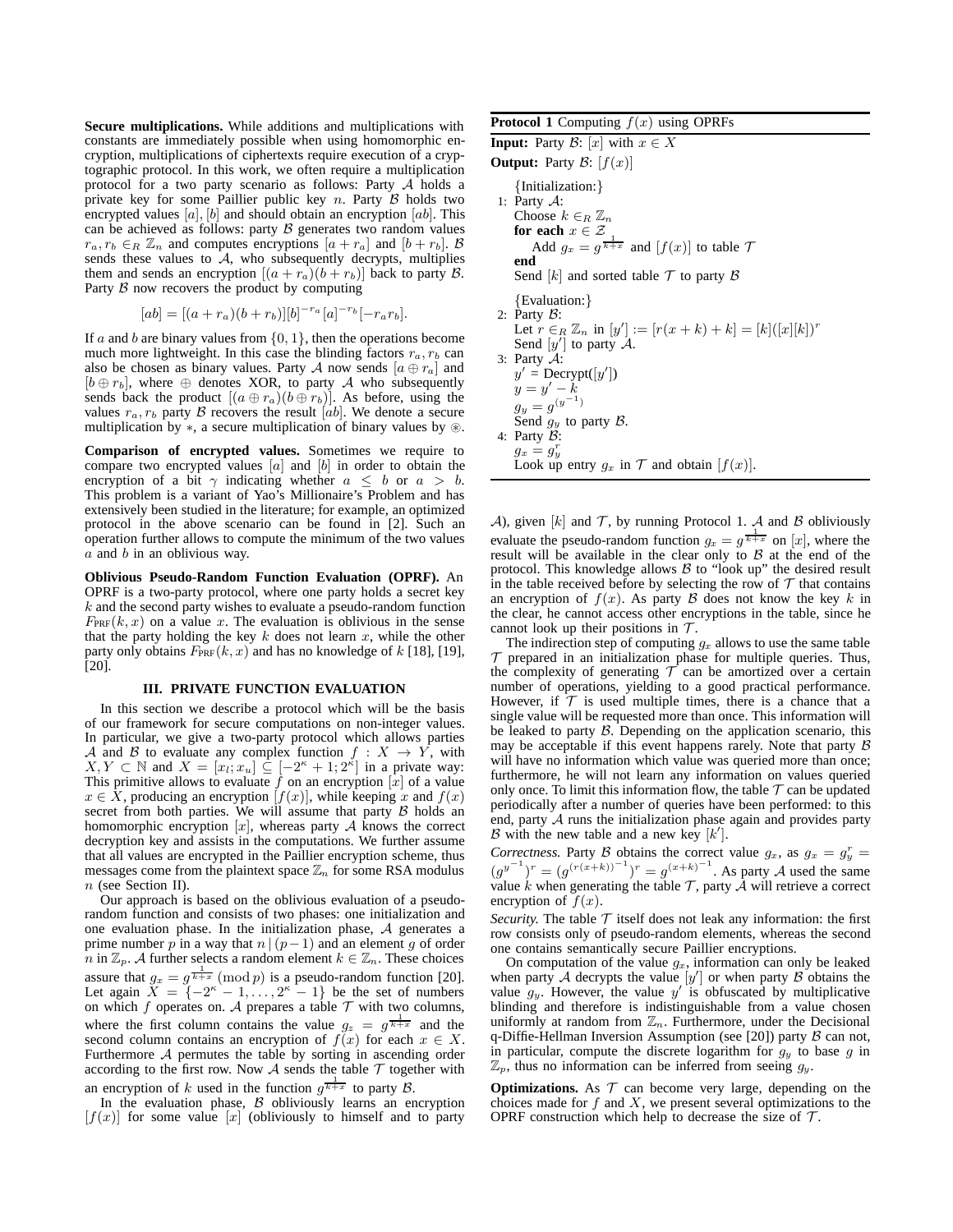**Secure multiplications.** While additions and multiplications with constants are immediately possible when using homomorphic encryption, multiplications of ciphertexts require execution of a cryptographic protocol. In this work, we often require a multiplication protocol for a two party scenario as follows: Party A holds a private key for some Paillier public key *n*. Party *B* holds two encrypted values [a], [b] and should obtain an encryption [ab]. This encrypted values [a], [b] and should obtain an encryption [ab]. This can be achieved as follows: party B generates two random values can be achieved as follows: party  $\beta$  generates two random values  $r_a, r_b \in_R \mathbb{Z}_n$  and computes encryptions  $[a + r_a]$  and  $[b + r_b]$ . B sends these values to  $A$ , who subsequently decrypts, multiplies them and sends an encryption  $[(a + r_a)(b + r_b)]$  back to party  $\beta$ . Party  $\beta$  now recovers the product by computing

$$
[ab] = [(a + r_a)(b + r_b)][b]^{-r_a}[a]^{-r_b}[-r_a r_b].
$$

If a and b are binary values from  $\{0, 1\}$ , then the operations become much more lightweight. In this case the blinding factors  $r_a$ ,  $r_b$  can also be chosen as binary values. Party A now sends  $[a \oplus r_a]$  and  $[b \oplus r_b]$ , where  $\oplus$  denotes XOR, to party A who subsequently sends back the product  $[(a \oplus r_a)(b \oplus r_b)]$ . As before, using the values  $r_a, r_b$  party B recovers the result [ab]. We denote a secure multiplication by  $*$ , a secure multiplication of binary values by  $*$ .

**Comparison of encrypted values.** Sometimes we require to compare two encrypted values  $[a]$  and  $[b]$  in order to obtain the encryption of a bit  $\gamma$  indicating whether  $a \leq b$  or  $a > b$ . This problem is a variant of Yao's Millionaire's Problem and has extensively been studied in the literature; for example, an optimized protocol in the above scenario can be found in [2]. Such an operation further allows to compute the minimum of the two values  $\alpha$  and  $\delta$  in an oblivious way.

**Oblivious Pseudo-Random Function Evaluation (OPRF).** An OPRF is a two-party protocol, where one party holds a secret key  $k$  and the second party wishes to evaluate a pseudo-random function  $F_{\text{PRF}}(k, x)$  on a value x. The evaluation is oblivious in the sense that the party holding the key  $k$  does not learn  $x$ , while the other party only obtains  $F_{\text{PRF}}(k, x)$  and has no knowledge of k [18], [19], [20].

## **III. PRIVATE FUNCTION EVALUATION**

In this section we describe a protocol which will be the basis of our framework for secure computations on non-integer values. In particular, we give a two-party protocol which allows parties A and B to evaluate any complex function  $f : X \to Y$ , with  $X, Y \subset \mathbb{N}$  and  $X = [x_i; x_u] \subseteq [-2^{\kappa} + 1; 2^{\kappa}]$  in a private way:<br>This primitive allows to evaluate f on an encryption [x] of a value This primitive allows to evaluate f on an encryption [x] of a value  $x \in X$ , producing an encryption  $[f(x)]$ , while keeping x and  $f(x)$  $x \in X$ , producing an encryption  $[f(x)]$ , while keeping x and  $f(x)$  secret from both parties. We will assume that party B holds an homomorphic encryption  $[x]$ , whereas party  $A$  knows the correct decryption key and assists in the computations. We further assume that all values are encrypted in the Paillier encryption scheme, thus messages come from the plaintext space  $\mathbb{Z}_n$  for some RSA modulus n (see Section II).

Our approach is based on the oblivious evaluation of a pseudorandom function and consists of two phases: one initialization and one evaluation phase. In the initialization phase,  $A$  generates a prime number p in a way that  $n \mid (p-1)$  and an element g of order n in  $\mathbb{Z}_p$ . A further selects a random element  $k \in \mathbb{Z}_n$ . These choices assure that  $g_x = g^{\frac{1}{k+x}} \pmod{p}$  is a pseudo-random function [20].<br>Let again  $X = \{-2^k - 1, ..., 2^k - 1\}$  be the set of numbers Let again  $\bar{X} = \{-2^k - 1, \ldots, 2^k - 1\}$  be the set of numbers<br>on which f operates on A prepares a table  $\mathcal T$  with two columns. on which  $f$  operates on. A prepares a table  $\mathcal T$  with two columns, where the first column contains the value  $g_z = g^{\frac{1}{k+x}}$  and the second column contains an encryption of  $f(x)$  for each  $x \in X$ . second column contains an encryption of  $f(x)$  for each  $x \in X$ .<br>Furthermore A permutes the table by sorting in ascending order Furthermore A permutes the table by sorting in ascending order according to the first row. Now  $A$  sends the table  $T$  together with an encryption of k used in the function  $g^{\frac{1}{k+x}}$  to party B.<br>In the evaluation phase, B obliviously learns an er-

In the evaluation phase,  $\beta$  obliviously learns an encryption  $[f(x)]$  for some value  $[x]$  (obliviously to himself and to party

**Protocol 1** Computing  $f(x)$  using OPRFs **Input:** Party  $\mathcal{B}: [x]$  with  $x \in X$ **Output:** Party  $\mathcal{B}: [f(x)]$ {Initialization:} 1: Party  $\mathcal{A}$ : Choose  $k \in_R \mathbb{Z}_n$ <br>for each  $x \in \mathcal{Z}$ **for each**  $x \in \mathcal{Z}$ <br>Add  $g_x = g^{\frac{1}{k+x}}$  and  $[f(x)]$  to table  $\mathcal{T}$ <br>**end end** Send  $[k]$  and sorted table  $\mathcal T$  to party  $\mathcal B$ {Evaluation:} 2: Party B: Let  $r \in_R \mathbb{Z}_n$  in  $[y'] := [r(x+k) + k] = [k]([x][k])^r$ <br>Send  $[y']$  to party  $A$ Send  $[y']$  to party A.<br>Party A: 3: Party A:  $_y^{\prime}$  $y' = \text{Decrypt}([y'])$ <br>=  $y' - k$  $y = y' - k$ <br>  $g_y = g^{(y^{-1})}$ <br>
Send  $g_y$  to 1 Send  $g_y$  to party  $\mathcal{B}$ .<br>4: Party  $\mathcal{B}$ :

Look up entry  $g_x$  in  $\mathcal T$  and obtain  $[f(x)]$ .

 $g_x = g_y^r$ <br>Look ur

A), given [k] and T, by running Protocol 1. A and B obliviously evaluate the pseudo-random function  $g_x = g^{\frac{1}{k+x}}$  on [x], where the result will be available in the clear only to B at the end of the result will be available in the clear only to  $\beta$  at the end of the protocol. This knowledge allows  $\beta$  to "look up" the desired result in the table received before by selecting the row of  $T$  that contains an encryption of  $f(x)$ . As party B does not know the key k in the clear, he cannot access other encryptions in the table, since he cannot look up their positions in  $\mathcal{T}$ .

The indirection step of computing  $g_x$  allows to use the same table  $T$  prepared in an initialization phase for multiple queries. Thus, the complexity of generating  $T$  can be amortized over a certain number of operations, yielding to a good practical performance. However, if  $\mathcal T$  is used multiple times, there is a chance that a single value will be requested more than once. This information will be leaked to party  $\beta$ . Depending on the application scenario, this may be acceptable if this event happens rarely. Note that party  $\beta$ will have no information which value was queried more than once; furthermore, he will not learn any information on values queried only once. To limit this information flow, the table  $T$  can be updated periodically after a number of queries have been performed: to this end, party  $A$  runs the initialization phase again and provides party  $\beta$  with the new table and a new key [k<sup>-</sup><br>Connectance, Batty  $\beta$  obtains the correct ].

*Correctness.* Party B obtains the correct value  $g_x$ , as  $g_x = g_y^r = (x^{-1})^r$ ,  $(x^{-1})^r = (x^{-1})^r$ ,  $(x^2 + k)^{-1}$ , A party, A used the same  $(g^{y^{-1}})^r = (g^{(r(x+k))^{-1}})^r = g^{(x+k)^{-1}}$ . As party A used the same value k when generating the table  $\mathcal T$  party A will retrieve a correct value k when generating the table  $\mathcal{T}$ , party  $\mathcal A$  will retrieve a correct encryption of  $f(x)$ . encryption of  $f(x)$ .

*Security.* The table  $T$  itself does not leak any information: the first row consists only of pseudo-random elements, whereas the second one contains semantically secure Paillier encryptions.

On computation of the value  $g_x$ , information can only be leaked<br>en party A decrypts the value  $[y']$  or when party B obtains the when party A decrypts the value [y'] or when party B obtains the value  $\omega$  is obtinated by multiplicative value  $g_y$ . However, the value  $y'$  is obfuscated by multiplicative<br>blinding and therefore is indistinguishable from a value chosen blinding and therefore is indistinguishable from a value chosen uniformly at random from  $\mathbb{Z}_n$ . Furthermore, under the Decisional q-Diffie-Hellman Inversion Assumption (see [20]) party  $\beta$  can not, in particular, compute the discrete logarithm for  $g_y$  to base g in  $\mathbb{Z}_p$ , thus no information can be inferred from seeing  $g_y$ .

**Optimizations.** As  $T$  can become very large, depending on the choices made for  $f$  and  $X$ , we present several optimizations to the OPRF construction which help to decrease the size of  $\mathcal{T}$ .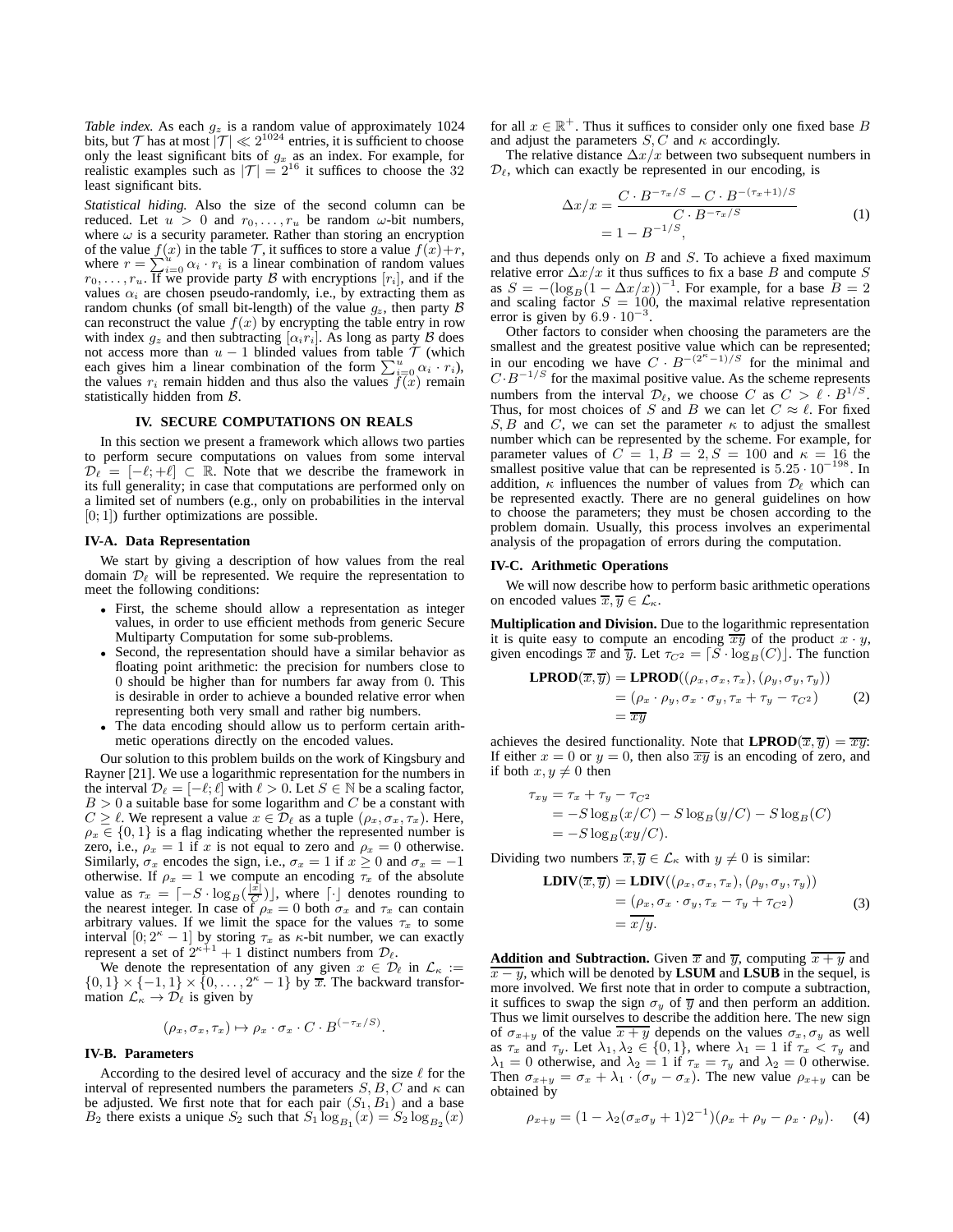*Table index.* As each  $g_z$  is a random value of approximately 1024 bits, but  $T$  has at most  $|T| \ll 2^{1024}$  entries, it is sufficient to choose only the least significant bits of  $g_x$  as an index. For example, for realistic examples such as  $|\mathcal{T}| = 2^{16}$  it suffices to choose the 32 least significant bits.

*Statistical hiding.* Also the size of the second column can be reduced. Let  $u > 0$  and  $r_0, \ldots, r_u$  be random  $\omega$ -bit numbers, where  $\omega$  is a security parameter. Rather than storing an encryption of the value  $f(x)$  in the table  $\mathcal{T}$ , it suffices to store a value  $f(x)+r$ , where  $r = \sum_{i=0}^{n} \alpha_i \cdot r_i$  is a linear combination of random values<br> $r_0, \ldots, r_u$ . If we provide party B with encryptions [*ri*], and if the  $r_0, \ldots, r_u$ . If we provide party B with encryptions  $[r_i]$ , and if the values  $\alpha_i$  are chosen pseudo-randomly, i.e., by extracting them as random chunks (of small bit-length) of the value  $g_z$ , then party  $\beta$ can reconstruct the value  $f(x)$  by encrypting the table entry in row with index  $g_z$  and then subtracting  $[\alpha_i r_i]$ . As long as party B does not access more than  $u - 1$  blinded values from table  $\mathcal T$  (which not access more than  $u - 1$  blinded values from table  $T$  (which each gives him a linear combination of the form  $\sum_{i=0}^{u} \alpha_i \cdot r_i$ ), the values  $r_i$  remain hidden and thus also the values  $f(x)$  remain the values  $r_i$  remain hidden and thus also the values  $f(x)$  remain statistically hidden from  $\mathcal B$ . statistically hidden from B.

### **IV. SECURE COMPUTATIONS ON REALS**

In this section we present a framework which allows two parties to perform secure computations on values from some interval  $\mathcal{D}_{\ell}^{\dagger} = [-\ell; +\ell] \subset \mathbb{R}$ . Note that we describe the framework in its full generality: in case that computations are performed only on its full generality; in case that computations are performed only on a limited set of numbers (e.g., only on probabilities in the interval  $[0; 1]$ ) further optimizations are possible.

## **IV-A. Data Representation**

We start by giving a description of how values from the real domain  $\mathcal{D}_{\ell}$  will be represented. We require the representation to meet the following conditions:

- First, the scheme should allow a representation as integer values, in order to use efficient methods from generic Secure Multiparty Computation for some sub-problems.
- Second, the representation should have a similar behavior as floating point arithmetic: the precision for numbers close to 0 should be higher than for numbers far away from 0. This is desirable in order to achieve a bounded relative error when representing both very small and rather big numbers.
- The data encoding should allow us to perform certain arithmetic operations directly on the encoded values.

Our solution to this problem builds on the work of Kingsbury and Rayner [21]. We use a logarithmic representation for the numbers in the interval  $\mathcal{D}_\ell = [-\ell; \ell]$  with  $\ell > 0$ . Let  $S \in \mathbb{N}$  be a scaling factor,  $B > 0$  a suitable base for some logarithm and C be a constant with  $B > 0$  a suitable base for some logarithm and C be a constant with  $C \geq \ell$ . We represent a value  $x \in \mathcal{D}_{\ell}$  as a tuple  $(\rho_x, \sigma_x, \tau_x)$ . Here,<br> $\rho_x \in \{0, 1\}$  is a flag indicating whether the represented number is  $\rho_x \in \{0, 1\}$  is a flag indicating whether the represented number is zero, i.e.,  $\rho_x = 1$  if x is not equal to zero and  $\rho_x = 0$  otherwise. Similarly,  $\sigma_x$  encodes the sign, i.e.,  $\sigma_x = 1$  if  $x \ge 0$  and  $\sigma_x = -1$ otherwise. If  $\rho_x = 1$  we compute an encoding  $\tau_x$  of the absolute value as  $\tau = [-S, \log |(x|)]$  where  $[,]$  denotes rounding to value as  $\tau_x = \left[-S \cdot \log_B\left(\frac{|x|}{C}\right)\right]$ , where  $\left[\cdot\right]$  denotes rounding to the nearest integer. In case of  $\rho_x = 0$  both  $\sigma_x$  and  $\tau_x$  can contain the nearest integer. In case of  $\rho_x = 0$  both  $\sigma_x$  and  $\tau_x$  can contain arbitrary values. If we limit the space for the values  $\tau_x$  to some arbitrary values. If we limit the space for the values  $\tau_x$  to some interval  $[0; 2^{\kappa} - 1]$  by storing  $\tau_x$  as  $\kappa$ -bit number, we can exactly represent a set of  $2^{\kappa+1} + 1$  distinct numbers from  $\mathcal{D}_{\ell}$ .

We denote the representation of any given  $x \in \mathcal{D}_{\ell}$  in  $\mathcal{L}_{\kappa} :=$ <br>  $1 \times \{-1, 1\} \times \{0, \ldots, 2^{\kappa} - 1\}$  by  $\overline{x}$ . The backward transfor- $\{0,1\} \times \{-1,1\} \times \{0,\ldots,2^{\kappa}-1\}$  by  $\overline{x}$ . The backward transformation  $\mathcal{L}_{\kappa} \to \mathcal{D}_{\ell}$  is given by

$$
(\rho_x, \sigma_x, \tau_x) \mapsto \rho_x \cdot \sigma_x \cdot C \cdot B^{(-\tau_x/S)}
$$

## **IV-B. Parameters**

According to the desired level of accuracy and the size  $\ell$  for the erval of represented numbers the parameters  $S, B, C$  and  $\kappa$  can interval of represented numbers the parameters  $S, B, C$  and  $\kappa$  can be adjusted. We first note that for each pair  $(S_1, B_1)$  and a base  $B_2$  there exists a unique  $S_2$  such that  $S_1 \log_{B_1}(x) = S_2 \log_{B_2}(x)$ 

for all  $x \in \mathbb{R}^+$ . Thus it suffices to consider only one fixed base B and adjust the parameters  $S, C$  and  $\kappa$  accordingly.

The relative distance  $\Delta x/x$  between two subsequent numbers in  $\mathcal{D}_{\ell}$ , which can exactly be represented in our encoding, is

$$
\Delta x/x = \frac{C \cdot B^{-\tau_x/S} - C \cdot B^{-(\tau_x+1)/S}}{C \cdot B^{-\tau_x/S}}
$$
  
= 1 - B<sup>-1/S</sup>, (1)

and thus depends only on B and S. To achieve a fixed maximum relative error  $\Delta x/x$  it thus suffices to fix a base B and compute S relative error  $\Delta x/x$  it thus suffices to fix a base B and compute S<br>as  $S = -(\log_2(1 - \Delta x/x))^{-1}$  For example for a base  $B = 2$ as  $S = -(\log_B(1 - \Delta x/x))^{-1}$ . For example, for a base  $B = 2$  and scaling factor  $S = 100$ , the maximal relative representation and scaling factor  $S = 100$ , the maximal relative representation error is given by  $6.9 \cdot 10^{-3}$ . error is given by  $6.9 \cdot 10^{-3}$ .<br>Other factors to consider

Other factors to consider when choosing the parameters are the smallest and the greatest positive value which can be represented; in our encoding we have  $C \cdot B^{-(2^{\kappa}-1)/S}$  for the minimal and  $C \cdot B^{-1/S}$  for the maximal positive value. As the scheme represents numbers from the interval  $\mathcal{D}_{\ell}$ , we choose C as  $C > \ell \cdot B^{1/S}$ .<br>Thus, for most choices of S and B we can let  $C \approx \ell$ . For fixed Thus, for most choices of S and B we can let  $C \approx \ell$ . For fixed S, B and C, we can set the parameter  $\kappa$  to adjust the smallest  $S, B$  and C, we can set the parameter  $\kappa$  to adjust the smallest number which can be represented by the scheme. For example, for parameter values of  $C = 1, B = 2, S = 100$  and  $\kappa = 16$  the smallest positive value that can be represented is  $5.25 \cdot 10^{-198}$ . In addition,  $\kappa$  influences the number of values from  $\mathcal{D}_{\ell}$  which can<br>be represented exactly. There are no general guidelines on how be represented exactly. There are no general guidelines on how to choose the parameters; they must be chosen according to the problem domain. Usually, this process involves an experimental analysis of the propagation of errors during the computation.

## **IV-C. Arithmetic Operations**

We will now describe how to perform basic arithmetic operations on encoded values  $\overline{x}, \overline{y} \in \mathcal{L}_{\kappa}$ .

**Multiplication and Division.** Due to the logarithmic representation it is quite easy to compute an encoding  $\overline{xy}$  of the product  $x \cdot y$ , given encodings  $\overline{x}$  and  $\overline{y}$ . Let  $\tau_{C^2} = \lceil \overline{S} \cdot \log_B(C) \rceil$ . The function

$$
\begin{aligned} \textbf{LPROD}(\overline{x}, \overline{y}) &= \textbf{LPROD}((\rho_x, \sigma_x, \tau_x), (\rho_y, \sigma_y, \tau_y)) \\ &= (\rho_x \cdot \rho_y, \sigma_x \cdot \sigma_y, \tau_x + \tau_y - \tau_{C^2}) \\ &= \overline{xy} \end{aligned} \tag{2}
$$

achieves the desired functionality. Note that  $\mathbf{LPROD}(\overline{x}, \overline{y}) = \overline{xy}$ : If either  $x = 0$  or  $y = 0$ , then also  $\overline{xy}$  is an encoding of zero, and if both  $x, y \neq 0$  then

$$
\tau_{xy} = \tau_x + \tau_y - \tau_{C^2}
$$
  
= -S \log\_B(x/C) - S \log\_B(y/C) - S \log\_B(C)  
= -S \log\_B(xy/C).

Dividing two numbers  $\overline{x}, \overline{y} \in \mathcal{L}_{\kappa}$  with  $y \neq 0$  is similar:

$$
\text{LDIV}(\overline{x}, \overline{y}) = \text{LDIV}((\rho_x, \sigma_x, \tau_x), (\rho_y, \sigma_y, \tau_y))
$$
  
=  $(\rho_x, \sigma_x \cdot \sigma_y, \tau_x - \tau_y + \tau_{C^2})$  (3)  
=  $\overline{x/y}$ .

**Addition and Subtraction.** Given  $\overline{x}$  and  $\overline{y}$ , computing  $\overline{x + y}$  and  $\overline{x-y}$ , which will be denoted by **LSUM** and **LSUB** in the sequel, is more involved. We first note that in order to compute a subtraction, it suffices to swap the sign  $\sigma_y$  of  $\overline{y}$  and then perform an addition. Thus we limit ourselves to describe the addition here. The new sign of  $\sigma_{x+y}$  of the value  $\overline{x+y}$  depends on the values  $\sigma_x, \sigma_y$  as well as  $\tau_x$  and  $\tau_y$ . Let  $\lambda_1, \lambda_2 \in \{0, 1\}$ , where  $\lambda_1 = 1$  if  $\tau_x < \tau_y$  and  $\lambda_1 = 0$  otherwise, and  $\lambda_2 = 1$  if  $\tau_x = \tau_y$  and  $\lambda_2 = 0$  otherwise. Then  $\sigma_{x+y} = \sigma_x + \lambda_1 \cdot (\sigma_y - \sigma_x)$ . The new value  $\rho_{x+y}$  can be obtained by

$$
\rho_{x+y} = (1 - \lambda_2(\sigma_x \sigma_y + 1)2^{-1})(\rho_x + \rho_y - \rho_x \cdot \rho_y).
$$
 (4)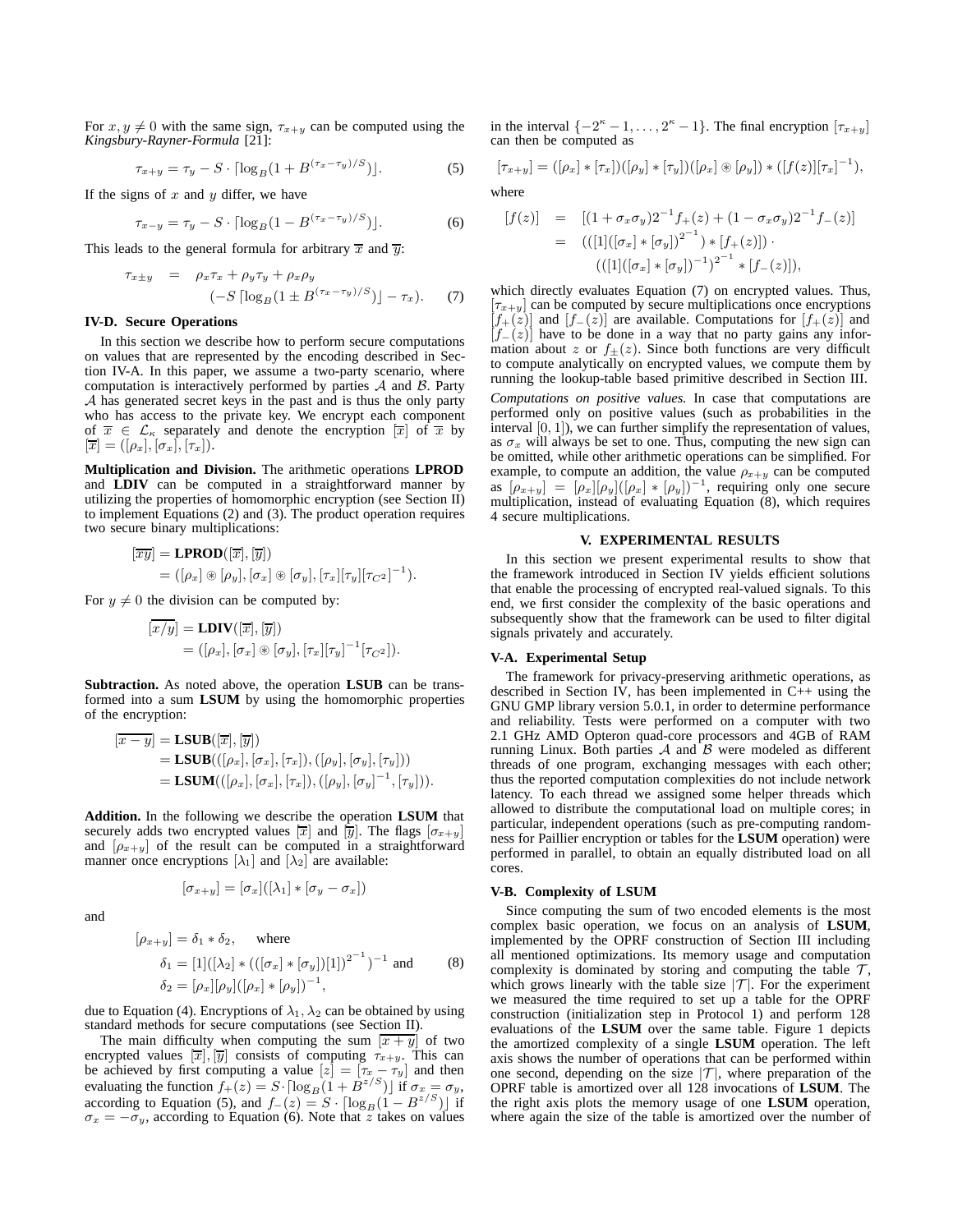For  $x, y \neq 0$  with the same sign,  $\tau_{x+y}$  can be computed using the *Kingsbury-Rayner-Formula* [21]:

$$
\tau_{x+y} = \tau_y - S \cdot \left[ \log_B \left( 1 + B^{(\tau_x - \tau_y)/S} \right) \right]. \tag{5}
$$

If the signs of  $x$  and  $y$  differ, we have

$$
\tau_{x-y} = \tau_y - S \cdot \left[ \log_B \left( 1 - B^{(\tau_x - \tau_y)/S} \right) \right]. \tag{6}
$$

This leads to the general formula for arbitrary  $\overline{x}$  and  $\overline{y}$ :

$$
\tau_{x\pm y} = \rho_x \tau_x + \rho_y \tau_y + \rho_x \rho_y
$$

$$
(-S \left[ \log_B \left( 1 \pm B^{(\tau_x - \tau_y)/S} \right) \right] - \tau_x). \tag{7}
$$

## **IV-D. Secure Operations**

In this section we describe how to perform secure computations on values that are represented by the encoding described in Section IV-A. In this paper, we assume a two-party scenario, where computation is interactively performed by parties  $A$  and  $B$ . Party A has generated secret keys in the past and is thus the only party who has access to the private key. We encrypt each component of  $\overline{x} \in \mathcal{L}_{\kappa}$  separately and denote the encryption  $[\overline{x}]$  of  $\overline{x}$  by  $|\overline{x}| = (|\rho_x|, |\sigma_x|, |\tau_x|).$ 

**Multiplication and Division.** The arithmetic operations **LPROD** and **LDIV** can be computed in a straightforward manner by utilizing the properties of homomorphic encryption (see Section II) to implement Equations (2) and (3). The product operation requires two secure binary multiplications:

$$
\overline{[xy]} = \textbf{LPROD}([\overline{x}], [\overline{y}])
$$
  
= ([\rho\_x] \otimes [\rho\_y], [\sigma\_x] \otimes [\sigma\_y], [\tau\_x] [\tau\_y] [\tau\_{C^2}]^{-1}).

For  $y \neq 0$  the division can be computed by:

$$
[x/y] = \text{LDIV}([\overline{x}], [\overline{y}])
$$
  
= ([\rho\_x], [\sigma\_x] \circledast [\sigma\_y], [\tau\_x] [\tau\_y]^{-1} [\tau\_{C^2}]).

**Subtraction.** As noted above, the operation **LSUB** can be transformed into a sum **LSUM** by using the homomorphic properties of the encryption:

$$
\begin{aligned} \n\overline{[x-y]} &= \text{LSUB}([\overline{x}], [\overline{y}]) \\ \n&= \text{LSUB}(([\rho_x], [\sigma_x], [\tau_x]), ([\rho_y], [\sigma_y], [\tau_y])) \\ \n&= \text{LSUM}(([\rho_x], [\sigma_x], [\tau_x]), ([\rho_y], [\sigma_y]^{-1}, [\tau_y])). \n\end{aligned}
$$

**Addition.** In the following we describe the operation **LSUM** that securely adds two encrypted values  $[\overline{x}]$  and  $[\overline{y}]$ . The flags  $[\sigma_{x+y}]$ and  $[\rho_{x+y}]$  of the result can be computed in a straightforward manner once encryptions  $[\lambda_1]$  and  $[\lambda_2]$  are available: manner once encryptions  $[\lambda_1]$  and  $[\lambda_2]$  are available:

$$
[\sigma_{x+y}] = [\sigma_x]([\lambda_1] * [\sigma_y - \sigma_x])
$$

and

$$
[\rho_{x+y}] = \delta_1 * \delta_2, \text{ where}
$$
  
\n
$$
\delta_1 = [1]([\lambda_2] * (([\sigma_x] * [\sigma_y])[1])^{2^{-1}})^{-1} \text{ and } \delta_2 = [\rho_x] [\rho_y] ([\rho_x] * [\rho_y])^{-1},
$$
\n(8)

due to Equation (4). Encryptions of  $\lambda_1, \lambda_2$  can be obtained by using standard methods for secure computations (see Section II).

The main difficulty when computing the sum  $\overline{x + y}$  of two encrypted values  $[\overline{x}]$ ,  $[\overline{y}]$  consists of computing  $\tau_{x+y}$ . This can<br>be achieved by first computing a value  $[z] = [\tau_x - \tau_y]$  and then be achieved by first computing a value  $[z]=[\tau_x - \tau_y]$  and then evaluating the function  $f_+(z) = S$ . [log  $(1 + B^{z/S})$ ] if  $\sigma = \sigma$ evaluating the function  $f_+(z) = S \cdot \left[ \log_B(1 + B^{z/S}) \right]$  if  $\sigma_x = \sigma_y$ , according to Equation (5), and  $f_-(z) = S \cdot \left[\log_B(1 - B^{z/S})\right]$  if  $\sigma_x = -\sigma_y$ , according to Equation (6). Note that z takes on values

in the interval  $\{-2^k - 1, \ldots, 2^k - 1\}$ . The final encryption  $[\tau_{x+y}]$ can then be computed as

$$
[\tau_{x+y}] = ([\rho_x] * [\tau_x])([\rho_y] * [\tau_y])([\rho_x] \otimes [\rho_y]) * ([f(z)][\tau_x]^{-1}),
$$

where

$$
[f(z)] = [(1 + \sigma_x \sigma_y)2^{-1} f_+(z) + (1 - \sigma_x \sigma_y)2^{-1} f_-(z)]
$$
  
= 
$$
(([1]([\sigma_x] * [\sigma_y])^{2^{-1}}) * [f_+(z)]) \cdot
$$

$$
(([1]([\sigma_x] * [\sigma_y])^{-1})^{2^{-1}} * [f_-(z)]),
$$

which directly evaluates Equation (7) on encrypted values. Thus,  $[\tau_{x+y}]$  can be computed by secure multiplications once encryptions  $[f_+(z)]$  and  $[f_-(z)]$  are available. Computations for  $[f_+(z)]$  and  $[f_-(z)]$  have to be done in a way that no party gains any information about z or  $f_{\pm}(z)$ . Since both functions are very difficult to compute analytically on encrypted values, we compute them by running the lookup-table based primitive described in Section III.

*Computations on positive values.* In case that computations are performed only on positive values (such as probabilities in the interval  $[0, 1]$ ), we can further simplify the representation of values, as  $\sigma_x$  will always be set to one. Thus, computing the new sign can be omitted, while other arithmetic operations can be simplified. For example, to compute an addition, the value  $\rho_{x+y}$  can be computed as  $[\rho_{x+y}] = [\rho_x][\rho_y]([\rho_x] * [\rho_y])^{-1}$ , requiring only one secure multiplication, instead of evaluating Equation (8), which requires 4 secure multiplications.

## **V. EXPERIMENTAL RESULTS**

In this section we present experimental results to show that the framework introduced in Section IV yields efficient solutions that enable the processing of encrypted real-valued signals. To this end, we first consider the complexity of the basic operations and subsequently show that the framework can be used to filter digital signals privately and accurately.

## **V-A. Experimental Setup**

The framework for privacy-preserving arithmetic operations, as described in Section IV, has been implemented in C++ using the GNU GMP library version 5.0.1, in order to determine performance and reliability. Tests were performed on a computer with two 2.1 GHz AMD Opteron quad-core processors and 4GB of RAM running Linux. Both parties  $A$  and  $B$  were modeled as different threads of one program, exchanging messages with each other; thus the reported computation complexities do not include network latency. To each thread we assigned some helper threads which allowed to distribute the computational load on multiple cores; in particular, independent operations (such as pre-computing randomness for Paillier encryption or tables for the **LSUM** operation) were performed in parallel, to obtain an equally distributed load on all cores.

#### **V-B. Complexity of LSUM**

Since computing the sum of two encoded elements is the most complex basic operation, we focus on an analysis of **LSUM**, implemented by the OPRF construction of Section III including all mentioned optimizations. Its memory usage and computation complexity is dominated by storing and computing the table  $\mathcal{T}$ , which grows linearly with the table size  $|\mathcal{T}|$ . For the experiment we measured the time required to set up a table for the OPRF construction (initialization step in Protocol 1) and perform 128 evaluations of the **LSUM** over the same table. Figure 1 depicts the amortized complexity of a single **LSUM** operation. The left axis shows the number of operations that can be performed within one second, depending on the size  $|\mathcal{T}|$ , where preparation of the OPRF table is amortized over all 128 invocations of **LSUM**. The the right axis plots the memory usage of one **LSUM** operation, where again the size of the table is amortized over the number of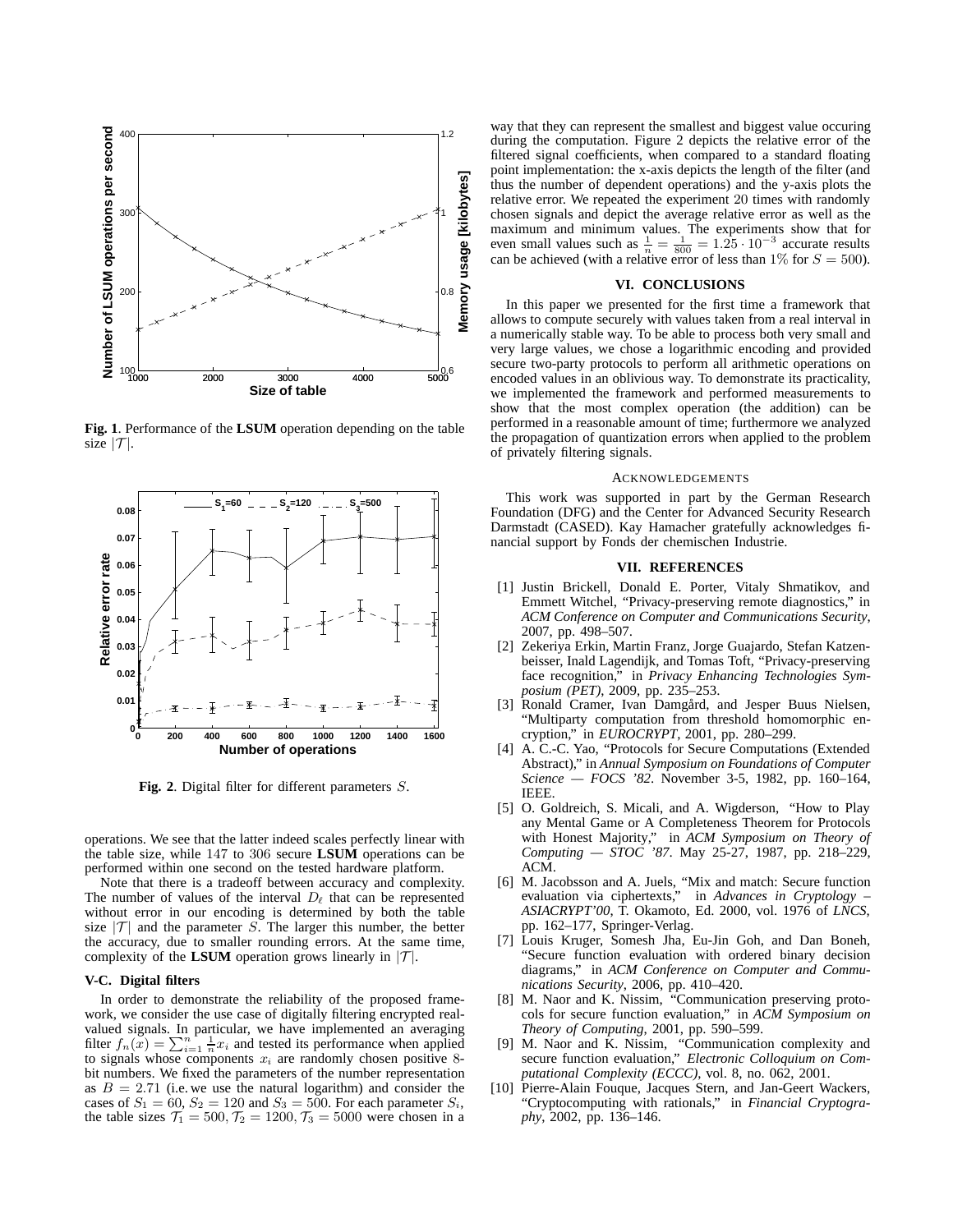

**Fig. 1**. Performance of the **LSUM** operation depending on the table size  $|\mathcal{T}|$ .



**Fig. 2**. Digital filter for different parameters S.

operations. We see that the latter indeed scales perfectly linear with the table size, while 147 to 306 secure **LSUM** operations can be performed within one second on the tested hardware platform.

Note that there is a tradeoff between accuracy and complexity. The number of values of the interval  $D_{\ell}$  that can be represented without error in our encoding is determined by both the table without error in our encoding is determined by both the table size  $|\mathcal{T}|$  and the parameter S. The larger this number, the better the accuracy, due to smaller rounding errors. At the same time, complexity of the **LSUM** operation grows linearly in  $|T|$ .

### **V-C. Digital filters**

In order to demonstrate the reliability of the proposed framework, we consider the use case of digitally filtering encrypted realvalued signals. In particular, we have implemented an averaging filter  $f_n(x) = \sum_{i=1}^n \frac{1}{n} x_i$  and tested its performance when applied<br>to signals whose components  $x_i$  are randomly chosen positive 8to signals whose components  $x_i$  are randomly chosen positive 8bit numbers. We fixed the parameters of the number representation as  $B = 2.71$  (i.e. we use the natural logarithm) and consider the cases of  $S_1 = 60$ ,  $S_2 = 120$  and  $S_3 = 500$ . For each parameter  $S_i$ , the table sizes  $\mathcal{T}_1 = 500, \mathcal{T}_2 = 1200, \mathcal{T}_3 = 5000$  were chosen in a

way that they can represent the smallest and biggest value occuring during the computation. Figure 2 depicts the relative error of the filtered signal coefficients, when compared to a standard floating point implementation: the x-axis depicts the length of the filter (and thus the number of dependent operations) and the y-axis plots the relative error. We repeated the experiment 20 times with randomly chosen signals and depict the average relative error as well as the maximum and minimum values. The experiments show that for even small values such as  $\frac{1}{n} = \frac{1}{800} = 1.25 \cdot 10^{-3}$  accurate results can be achieved (with a relative error of less than 1% for  $S = 500$ ). can be achieved (with a relative error of less than  $1\%$  for  $S = 500$ ).

## **VI. CONCLUSIONS**

In this paper we presented for the first time a framework that allows to compute securely with values taken from a real interval in a numerically stable way. To be able to process both very small and very large values, we chose a logarithmic encoding and provided secure two-party protocols to perform all arithmetic operations on encoded values in an oblivious way. To demonstrate its practicality, we implemented the framework and performed measurements to show that the most complex operation (the addition) can be performed in a reasonable amount of time; furthermore we analyzed the propagation of quantization errors when applied to the problem of privately filtering signals.

## ACKNOWLEDGEMENTS

This work was supported in part by the German Research Foundation (DFG) and the Center for Advanced Security Research Darmstadt (CASED). Kay Hamacher gratefully acknowledges financial support by Fonds der chemischen Industrie.

## **VII. REFERENCES**

- [1] Justin Brickell, Donald E. Porter, Vitaly Shmatikov, and Emmett Witchel, "Privacy-preserving remote diagnostics," in *ACM Conference on Computer and Communications Security*, 2007, pp. 498–507.
- [2] Zekeriya Erkin, Martin Franz, Jorge Guajardo, Stefan Katzenbeisser, Inald Lagendijk, and Tomas Toft, "Privacy-preserving face recognition," in *Privacy Enhancing Technologies Symposium (PET)*, 2009, pp. 235–253.
- [3] Ronald Cramer, Ivan Damgård, and Jesper Buus Nielsen, "Multiparty computation from threshold homomorphic encryption," in *EUROCRYPT*, 2001, pp. 280–299.
- [4] A. C.-C. Yao, "Protocols for Secure Computations (Extended Abstract)," in *Annual Symposium on Foundations of Computer Science — FOCS '82*. November 3-5, 1982, pp. 160–164, IEEE.
- [5] O. Goldreich, S. Micali, and A. Wigderson, "How to Play any Mental Game or A Completeness Theorem for Protocols with Honest Majority," in *ACM Symposium on Theory of Computing — STOC '87*. May 25-27, 1987, pp. 218–229, ACM.
- [6] M. Jacobsson and A. Juels, "Mix and match: Secure function evaluation via ciphertexts," in *Advances in Cryptology – ASIACRYPT'00*, T. Okamoto, Ed. 2000, vol. 1976 of *LNCS*, pp. 162–177, Springer-Verlag.
- [7] Louis Kruger, Somesh Jha, Eu-Jin Goh, and Dan Boneh, "Secure function evaluation with ordered binary decision diagrams," in *ACM Conference on Computer and Communications Security*, 2006, pp. 410–420.
- [8] M. Naor and K. Nissim, "Communication preserving protocols for secure function evaluation," in *ACM Symposium on Theory of Computing*, 2001, pp. 590–599.
- [9] M. Naor and K. Nissim, "Communication complexity and secure function evaluation," *Electronic Colloquium on Computational Complexity (ECCC)*, vol. 8, no. 062, 2001.
- [10] Pierre-Alain Fouque, Jacques Stern, and Jan-Geert Wackers, "Cryptocomputing with rationals," in *Financial Cryptography*, 2002, pp. 136–146.